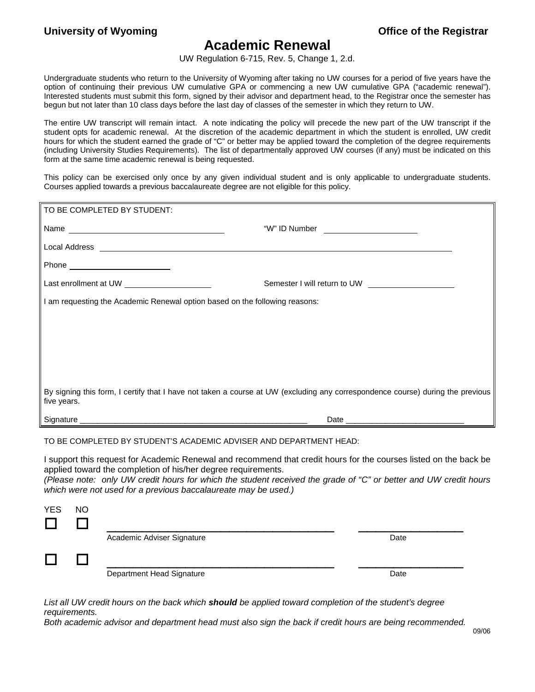## **Academic Renewal**

UW Regulation 6-715, Rev. 5, Change 1, 2.d.

Undergraduate students who return to the University of Wyoming after taking no UW courses for a period of five years have the option of continuing their previous UW cumulative GPA or commencing a new UW cumulative GPA ("academic renewal"). Interested students must submit this form, signed by their advisor and department head, to the Registrar once the semester has begun but not later than 10 class days before the last day of classes of the semester in which they return to UW.

The entire UW transcript will remain intact. A note indicating the policy will precede the new part of the UW transcript if the student opts for academic renewal. At the discretion of the academic department in which the student is enrolled, UW credit hours for which the student earned the grade of "C" or better may be applied toward the completion of the degree requirements (including University Studies Requirements). The list of departmentally approved UW courses (if any) must be indicated on this form at the same time academic renewal is being requested.

This policy can be exercised only once by any given individual student and is only applicable to undergraduate students. Courses applied towards a previous baccalaureate degree are not eligible for this policy.

| TO BE COMPLETED BY STUDENT:                                                                                                                                                                                                    |                                                                                                                                |  |  |  |
|--------------------------------------------------------------------------------------------------------------------------------------------------------------------------------------------------------------------------------|--------------------------------------------------------------------------------------------------------------------------------|--|--|--|
| Name experience and a series of the series of the series of the series of the series of the series of the series of the series of the series of the series of the series of the series of the series of the series of the seri | "W" ID Number _______________________                                                                                          |  |  |  |
|                                                                                                                                                                                                                                |                                                                                                                                |  |  |  |
|                                                                                                                                                                                                                                |                                                                                                                                |  |  |  |
| Last enrollment at UW _______________________                                                                                                                                                                                  | Semester I will return to UW <b>Semester I will return to UW</b>                                                               |  |  |  |
| I am requesting the Academic Renewal option based on the following reasons:                                                                                                                                                    |                                                                                                                                |  |  |  |
|                                                                                                                                                                                                                                |                                                                                                                                |  |  |  |
|                                                                                                                                                                                                                                |                                                                                                                                |  |  |  |
|                                                                                                                                                                                                                                |                                                                                                                                |  |  |  |
|                                                                                                                                                                                                                                |                                                                                                                                |  |  |  |
| five years.                                                                                                                                                                                                                    | By signing this form, I certify that I have not taken a course at UW (excluding any correspondence course) during the previous |  |  |  |
|                                                                                                                                                                                                                                |                                                                                                                                |  |  |  |

## TO BE COMPLETED BY STUDENT'S ACADEMIC ADVISER AND DEPARTMENT HEAD:

I support this request for Academic Renewal and recommend that credit hours for the courses listed on the back be applied toward the completion of his/her degree requirements.

*(Please note: only UW credit hours for which the student received the grade of "C" or better and UW credit hours which were not used for a previous baccalaureate may be used.)*

| <b>YES</b>   | <b>NO</b> |                            |      |  |
|--------------|-----------|----------------------------|------|--|
|              |           |                            |      |  |
|              |           | Academic Adviser Signature | Date |  |
| $\mathbf{L}$ |           |                            |      |  |
|              |           | Department Head Signature  | Date |  |

*List all UW credit hours on the back which should be applied toward completion of the student's degree requirements.*

*Both academic advisor and department head must also sign the back if credit hours are being recommended.*